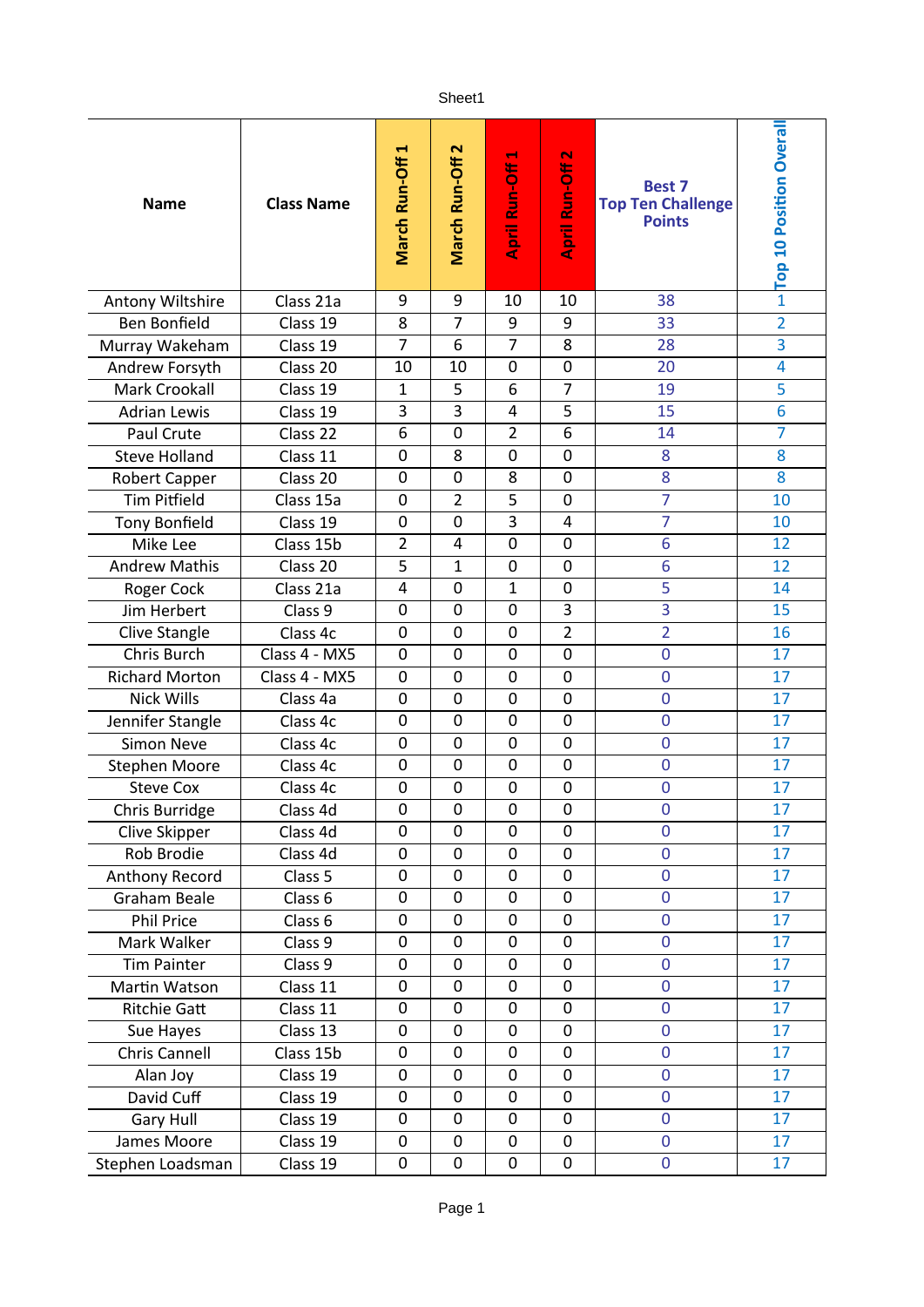## Sheet1

| <b>Name</b>           | <b>Class Name</b> | H<br>March Run-Off | $\mathbf{\tilde{z}}$<br>March Run-Off | $\blacksquare$<br>April Run-Off | April Run-Off 2 | <b>Best 7</b><br><b>Top Ten Challenge</b><br><b>Points</b> | - Top 10 Position Overall |
|-----------------------|-------------------|--------------------|---------------------------------------|---------------------------------|-----------------|------------------------------------------------------------|---------------------------|
| Antony Wiltshire      | Class 21a         | 9                  | 9                                     | 10                              | 10              | 38                                                         |                           |
| <b>Ben Bonfield</b>   | Class 19          | 8                  | $\overline{7}$                        | 9                               | 9               | 33                                                         | $\overline{2}$            |
| Murray Wakeham        | Class 19          | 7                  | 6                                     | 7                               | 8               | 28                                                         | 3                         |
| Andrew Forsyth        | Class 20          | 10                 | 10                                    | 0                               | $\mathbf 0$     | 20                                                         | $\overline{\mathbf{4}}$   |
| <b>Mark Crookall</b>  | Class 19          | 1                  | 5                                     | 6                               | 7               | 19                                                         | 5                         |
| <b>Adrian Lewis</b>   | Class 19          | 3                  | 3                                     | 4                               | 5               | 15                                                         | 6                         |
| Paul Crute            | Class 22          | 6                  | $\mathbf 0$                           | $\overline{2}$                  | $\overline{6}$  | 14                                                         | 7                         |
| <b>Steve Holland</b>  | Class 11          | 0                  | 8                                     | $\overline{0}$                  | $\mathbf 0$     | 8                                                          | 8                         |
| <b>Robert Capper</b>  | Class 20          | 0                  | $\mathbf 0$                           | 8                               | $\mathbf 0$     | 8                                                          | 8                         |
| <b>Tim Pitfield</b>   | Class 15a         | 0                  | $\overline{2}$                        | 5                               | $\mathbf 0$     | 7                                                          | 10                        |
| <b>Tony Bonfield</b>  | Class 19          | 0                  | 0                                     | 3                               | 4               | 7                                                          | 10                        |
| Mike Lee              | Class 15b         | $\overline{2}$     | $\overline{4}$                        | $\mathbf 0$                     | $\mathbf 0$     | 6                                                          | 12                        |
| <b>Andrew Mathis</b>  | Class 20          | 5                  | 1                                     | 0                               | $\mathbf 0$     | 6                                                          | 12                        |
| Roger Cock            | Class 21a         | 4                  | $\mathbf 0$                           | $\mathbf{1}$                    | $\mathbf 0$     | 5                                                          | 14                        |
| Jim Herbert           | Class 9           | 0                  | 0                                     | 0                               | 3               | 3                                                          | 15                        |
| Clive Stangle         | Class 4c          | 0                  | $\mathbf 0$                           | $\overline{0}$                  | $\overline{2}$  | $\overline{2}$                                             | 16                        |
| Chris Burch           | Class 4 - MX5     | 0                  | 0                                     | 0                               | $\mathbf 0$     | $\mathbf 0$                                                | 17                        |
| <b>Richard Morton</b> | Class 4 - MX5     | 0                  | 0                                     | 0                               | $\mathbf 0$     | $\mathbf 0$                                                | 17                        |
| <b>Nick Wills</b>     | Class 4a          | $\overline{0}$     | $\mathbf 0$                           | $\overline{0}$                  | 0               | $\overline{0}$                                             | 17                        |
| Jennifer Stangle      | Class 4c          | 0                  | $\mathbf 0$                           | 0                               | 0               | $\overline{0}$                                             | 17                        |
| <b>Simon Neve</b>     | Class 4c          | 0                  | 0                                     | 0                               | 0               | $\mathbf 0$                                                | 17                        |
| <b>Stephen Moore</b>  | Class 4c          | 0                  | $\mathbf 0$                           | 0                               | $\mathbf 0$     | $\mathbf 0$                                                | 17                        |
| <b>Steve Cox</b>      | Class 4c          | $\mathbf 0$        | $\mathbf 0$                           | $\mathbf 0$                     | 0               | $\mathbf 0$                                                | 17                        |
| Chris Burridge        | Class 4d          | $\pmb{0}$          | $\pmb{0}$                             | $\pmb{0}$                       | $\pmb{0}$       | $\mathbf 0$                                                | 17                        |
| Clive Skipper         | Class 4d          | 0                  | 0                                     | 0                               | 0               | $\mathbf 0$                                                | 17                        |
| Rob Brodie            | Class 4d          | 0                  | 0                                     | $\mathbf 0$                     | 0               | $\mathbf 0$                                                | 17                        |
| Anthony Record        | Class 5           | 0                  | $\mathbf 0$                           | 0                               | 0               | $\overline{0}$                                             | 17                        |
| Graham Beale          | Class 6           | 0                  | 0                                     | 0                               | 0               | $\overline{0}$                                             | 17                        |
| <b>Phil Price</b>     | Class 6           | 0                  | 0                                     | 0                               | 0               | 0                                                          | 17                        |
| Mark Walker           | Class 9           | 0                  | $\mathbf 0$                           | 0                               | 0               | $\mathbf 0$                                                | 17                        |
| <b>Tim Painter</b>    | Class 9           | 0                  | 0                                     | 0                               | 0               | $\mathbf 0$                                                | 17                        |
| Martin Watson         | Class 11          | 0                  | $\mathbf 0$                           | 0                               | 0               | $\mathbf 0$                                                | 17                        |
| <b>Ritchie Gatt</b>   | Class 11          | 0                  | $\mathbf 0$                           | 0                               | 0               | $\mathbf 0$                                                | 17                        |
| Sue Hayes             | Class 13          | 0                  | 0                                     | 0                               | 0               | $\mathbf 0$                                                | 17                        |
| Chris Cannell         | Class 15b         | 0                  | 0                                     | 0                               | 0               | $\mathbf 0$                                                | 17                        |
| Alan Joy              | Class 19          | 0                  | $\mathbf 0$                           | 0                               | 0               | $\mathbf 0$                                                | 17                        |
| David Cuff            | Class 19          | 0                  | 0                                     | 0                               | 0               | $\mathbf 0$                                                | 17                        |
| <b>Gary Hull</b>      | Class 19          | 0                  | $\mathbf 0$                           | 0                               | 0               | $\overline{0}$                                             | 17                        |
| James Moore           | Class 19          | 0                  | 0                                     | 0                               | 0               | $\mathbf 0$                                                | 17                        |
| Stephen Loadsman      | Class 19          | 0                  | $\pmb{0}$                             | 0                               | $\pmb{0}$       | $\mathbf 0$                                                | 17                        |